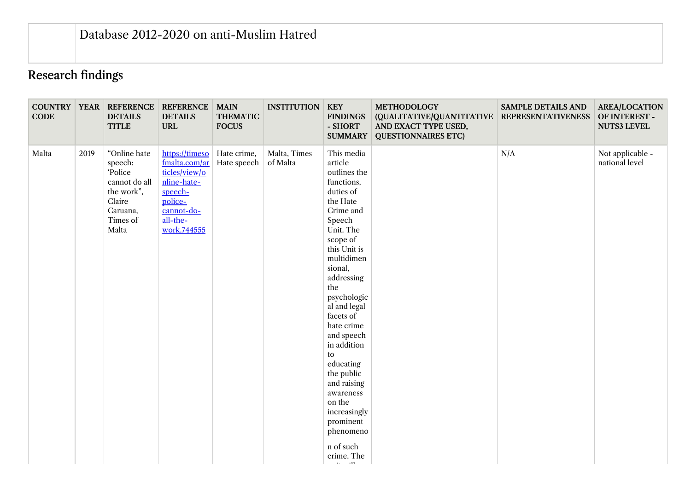## Research findings

| <b>CODE</b> |      | <b>COUNTRY   YEAR   REFERENCE</b><br><b>DETAILS</b><br><b>TITLE</b>                                         | <b>REFERENCE   MAIN</b><br><b>DETAILS</b><br><b>URL</b>                                                                        | <b>THEMATIC</b><br><b>FOCUS</b> | <b>INSTITUTION</b>       | <b>KEY</b><br><b>FINDINGS</b><br>- SHORT<br><b>SUMMARY</b>                                                                                                                                                                                                                                                                                                                                                                                                     | <b>METHODOLOGY</b><br>(QUALITATIVE/QUANTITATIVE<br>AND EXACT TYPE USED,<br><b>QUESTIONNAIRES ETC)</b> | <b>SAMPLE DETAILS AND</b><br><b>REPRESENTATIVENESS</b> | <b>AREA/LOCATION</b><br>OF INTEREST -<br><b>NUTS3 LEVEL</b> |
|-------------|------|-------------------------------------------------------------------------------------------------------------|--------------------------------------------------------------------------------------------------------------------------------|---------------------------------|--------------------------|----------------------------------------------------------------------------------------------------------------------------------------------------------------------------------------------------------------------------------------------------------------------------------------------------------------------------------------------------------------------------------------------------------------------------------------------------------------|-------------------------------------------------------------------------------------------------------|--------------------------------------------------------|-------------------------------------------------------------|
| Malta       | 2019 | "Online hate<br>speech:<br>Police<br>cannot do all<br>the work",<br>Claire<br>Caruana,<br>Times of<br>Malta | https://timeso<br>fmalta.com/ar<br>ticles/view/o<br>nline-hate-<br>speech-<br>police-<br>cannot-do-<br>all-the-<br>work.744555 | Hate crime,<br>Hate speech      | Malta, Times<br>of Malta | This media<br>article<br>outlines the<br>functions,<br>duties of<br>the Hate<br>Crime and<br>Speech<br>Unit. The<br>scope of<br>this Unit is<br>multidimen<br>sional,<br>addressing<br>the<br>psychologic<br>al and legal<br>facets of<br>hate crime<br>and speech<br>in addition<br>to<br>educating<br>the public<br>and raising<br>awareness<br>on the<br>increasingly<br>prominent<br>phenomeno<br>n of such<br>crime. The<br>$\mathbf{v} = \mathbf{v}$ and |                                                                                                       | N/A                                                    | Not applicable -<br>national level                          |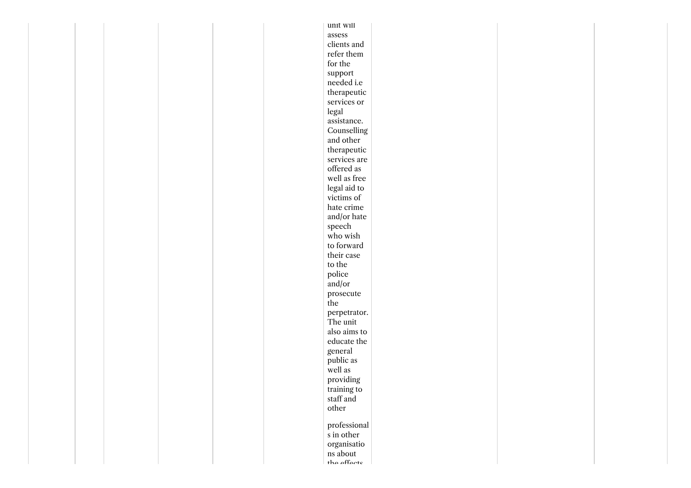|  |  |  | unit will                 |  |  |
|--|--|--|---------------------------|--|--|
|  |  |  | $\operatorname{assess}$   |  |  |
|  |  |  | clients and               |  |  |
|  |  |  | refer them                |  |  |
|  |  |  | for the                   |  |  |
|  |  |  | support                   |  |  |
|  |  |  | needed i.e                |  |  |
|  |  |  | therapeutic               |  |  |
|  |  |  | services or               |  |  |
|  |  |  | legal                     |  |  |
|  |  |  | assistance.               |  |  |
|  |  |  | Counselling               |  |  |
|  |  |  | and other                 |  |  |
|  |  |  | therapeutic               |  |  |
|  |  |  | services are              |  |  |
|  |  |  | offered as                |  |  |
|  |  |  | well as free              |  |  |
|  |  |  | legal aid to              |  |  |
|  |  |  | victims of                |  |  |
|  |  |  | hate crime                |  |  |
|  |  |  | and/or hate               |  |  |
|  |  |  | ${\rm speech}$            |  |  |
|  |  |  | who wish                  |  |  |
|  |  |  | to forward                |  |  |
|  |  |  | their case                |  |  |
|  |  |  | to the                    |  |  |
|  |  |  | police                    |  |  |
|  |  |  | and/or                    |  |  |
|  |  |  | prosecute                 |  |  |
|  |  |  | the                       |  |  |
|  |  |  | perpetrator.              |  |  |
|  |  |  | The unit                  |  |  |
|  |  |  | also aims to              |  |  |
|  |  |  | educate the               |  |  |
|  |  |  | general                   |  |  |
|  |  |  | public as                 |  |  |
|  |  |  | well as                   |  |  |
|  |  |  | providing                 |  |  |
|  |  |  |                           |  |  |
|  |  |  | training to<br>staff and  |  |  |
|  |  |  | other                     |  |  |
|  |  |  |                           |  |  |
|  |  |  | professional              |  |  |
|  |  |  | $\boldsymbol{s}$ in other |  |  |
|  |  |  | organisatio               |  |  |
|  |  |  | ns about<br>the effects   |  |  |
|  |  |  |                           |  |  |